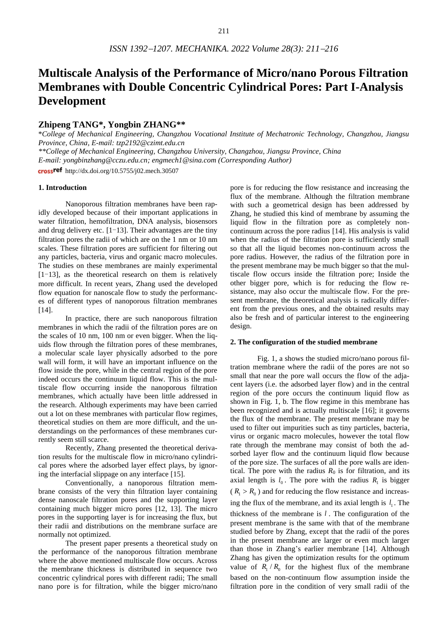# **Multiscale Analysis of the Performance of Micro/nano Porous Filtration Membranes with Double Concentric Cylindrical Pores: Part I-Analysis Development**

# **Zhipeng TANG\*, Yongbin ZHANG\*\***

\**College of Mechanical Engineering, Changzhou Vocational Institute of Mechatronic Technology, Changzhou, Jiangsu Province, China, E-mail: tzp2192@czimt.edu.cn*

*\*\*College of Mechanical Engineering, Changzhou University, Changzhou, Jiangsu Province, China*

*E-mail: [yongbinzhang@cczu.edu.cn;](mailto:yongbinzhang@cczu.edu.cn) engmech1@sina.com (Corresponding Author)*

crossref http://dx.doi.org/10.5755/j02.mech.30507

#### **1. Introduction**

Nanoporous filtration membranes have been rapidly developed because of their important applications in water filtration, hemofiltration, DNA analysis, biosensors and drug delivery etc.  $[1-13]$ . Their advantages are the tiny filtration pores the radii of which are on the 1 nm or 10 nm scales. These filtration pores are sufficient for filtering out any particles, bacteria, virus and organic macro molecules. The studies on these membranes are mainly experimental  $[1-13]$ , as the theoretical research on them is relatively more difficult. In recent years, Zhang used the developed flow equation for nanoscale flow to study the performances of different types of nanoporous filtration membranes [14].

In practice, there are such nanoporous filtration membranes in which the radii of the filtration pores are on the scales of 10 nm, 100 nm or even bigger. When the liquids flow through the filtration pores of these membranes, a molecular scale layer physically adsorbed to the pore wall will form, it will have an important influence on the flow inside the pore, while in the central region of the pore indeed occurs the continuum liquid flow. This is the multiscale flow occurring inside the nanoporous filtration membranes, which actually have been little addressed in the research. Although experiments may have been carried out a lot on these membranes with particular flow regimes, theoretical studies on them are more difficult, and the understandings on the performances of these membranes currently seem still scarce.

Recently, Zhang presented the theoretical derivation results for the multiscale flow in micro/nano cylindrical pores where the adsorbed layer effect plays, by ignoring the interfacial slippage on any interface [15].

Conventionally, a nanoporous filtration membrane consists of the very thin filtration layer containing dense nanoscale filtration pores and the supporting layer containing much bigger micro pores [12, 13]. The micro pores in the supporting layer is for increasing the flux, but their radii and distributions on the membrane surface are normally not optimized.

The present paper presents a theoretical study on the performance of the nanoporous filtration membrane where the above mentioned multiscale flow occurs. Across the membrane thickness is distributed in sequence two concentric cylindrical pores with different radii; The small nano pore is for filtration, while the bigger micro/nano pore is for reducing the flow resistance and increasing the flux of the membrane. Although the filtration membrane with such a geometrical design has been addressed by Zhang, he studied this kind of membrane by assuming the liquid flow in the filtration pore as completely noncontinuum across the pore radius [14]. His analysis is valid when the radius of the filtration pore is sufficiently small so that all the liquid becomes non-continuum across the pore radius. However, the radius of the filtration pore in the present membrane may be much bigger so that the multiscale flow occurs inside the filtration pore; Inside the other bigger pore, which is for reducing the flow resistance, may also occur the multiscale flow. For the present membrane, the theoretical analysis is radically different from the previous ones, and the obtained results may also be fresh and of particular interest to the engineering design.

#### **2. The configuration of the studied membrane**

Fig. 1, a shows the studied micro/nano porous filtration membrane where the radii of the pores are not so small that near the pore wall occurs the flow of the adjacent layers (i.e. the adsorbed layer flow) and in the central region of the pore occurs the continuum liquid flow as shown in Fig. 1, b. The flow regime in this membrane has been recognized and is actually multiscale [16]; it governs the flux of the membrane. The present membrane may be used to filter out impurities such as tiny particles, bacteria, virus or organic macro molecules, however the total flow rate through the membrane may consist of both the adsorbed layer flow and the continuum liquid flow because of the pore size. The surfaces of all the pore walls are identical. The pore with the radius  $R_0$  is for filtration, and its axial length is  $l_0$ . The pore with the radius  $R_1$  is bigger  $(R_1 > R_0)$  and for reducing the flow resistance and increasing the flux of the membrane, and its axial length is  $l_1$ . The thickness of the membrane is *l* . The configuration of the present membrane is the same with that of the membrane studied before by Zhang, except that the radii of the pores in the present membrane are larger or even much larger than those in Zhang's earlier membrane [14]. Although Zhang has given the optimization results for the optimum value of  $R_1/R_0$  for the highest flux of the membrane based on the non-continuum flow assumption inside the filtration pore in the condition of very small radii of the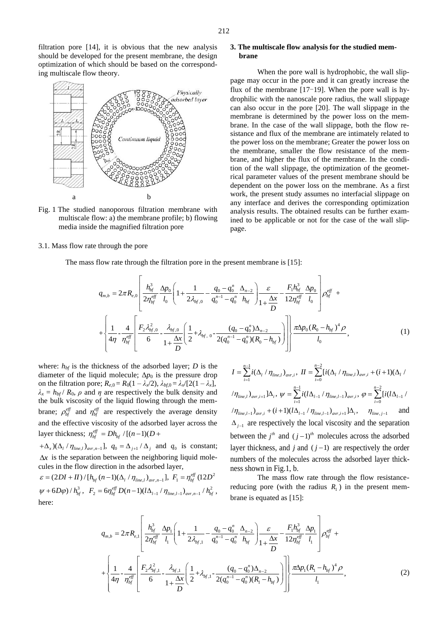filtration pore [14], it is obvious that the new analysis should be developed for the present membrane, the design optimization of which should be based on the corresponding multiscale flow theory.



Fig. 1 The studied nanoporous filtration membrane with multiscale flow: a) the membrane profile; b) flowing media inside the magnified filtration pore

#### 3.1. Mass flow rate through the pore

# **3. The multiscale flow analysis for the studied membrane**

When the pore wall is hydrophobic, the wall slippage may occur in the pore and it can greatly increase the flux of the membrane  $[17-19]$ . When the pore wall is hydrophilic with the nanoscale pore radius, the wall slippage can also occur in the pore [20]. The wall slippage in the membrane is determined by the power loss on the membrane. In the case of the wall slippage, both the flow resistance and flux of the membrane are intimately related to the power loss on the membrane; Greater the power loss on the membrane, smaller the flow resistance of the membrane, and higher the flux of the membrane. In the condition of the wall slippage, the optimization of the geometrical parameter values of the present membrane should be dependent on the power loss on the membrane. As a first work, the present study assumes no interfacial slippage on any interface and derives the corresponding optimization analysis results. The obtained results can be further examined to be applicable or not for the case of the wall slippage.

The mass flow rate through the filtration pore in the present membrane is [15]:  
\n
$$
q_{m,b} = 2\pi R_{e,0} \left[ \frac{h_{bf}^3}{2\eta_{bf}^{eff}} \frac{\Delta p_0}{l_0} \left( 1 + \frac{1}{2\lambda_{bf,0}} - \frac{q_0 - q_0^n}{q_0^{n-1} - q_0^n} \frac{\Delta_{n-2}}{h_{bf}} \right) \frac{\varepsilon}{1 + \frac{\Delta x}{D}} - \frac{F_1 h_{bf}^3}{12\eta_{bf}^{eff}} \frac{\Delta p_0}{l_0} \right] \rho_{bf}^{eff} +
$$
\n
$$
+ \left\{ \frac{1}{4\eta} - \frac{4}{\eta_{bf}^{eff}} \left[ \frac{F_2 \lambda_{bf,0}^2}{6} - \frac{\lambda_{bf,0}}{1 + \frac{\Delta x}{D}} \left( \frac{1}{2} + \lambda_{bf,0} - \frac{(q_0 - q_0^n)\Delta_{n-2}}{2(q_0^{n-1} - q_0^n)(R_0 - h_{bf})} \right) \right] \right\} \frac{\pi \Delta p_0 (R_0 - h_{bf})^4 \rho}{l_0}, \tag{1}
$$

where:  $h_{bf}$  is the thickness of the adsorbed layer; *D* is the diameter of the liquid molecule;  $\Delta p_0$  is the pressure drop on the filtration pore;  $R_{e,0} = R_0(1 - \lambda_x/2)$ ,  $\lambda_{bf,0} = \lambda_x/[2(1 - \lambda_x)]$ ,  $\lambda_x = h_{bf}$  *R*<sub>0</sub>, *ρ* and *η* are respectively the bulk density and the bulk viscosity of the liquid flowing through the membrane;  $\rho_{bf}^{eff}$  and  $\eta_{bf}^{eff}$  are respectively the average density and the effective viscosity of the adsorbed layer across the layer thickness;  $\eta_{bf}^{eff} = Dh_{bf} / [(n-1)(D +$ 

 $+(\Delta_x)(\Delta_l/\eta_{line,l})_{avr,n-1}], q_0 = \Delta_{j+1}/\Delta_j$  and  $q_0$  is constant;  $\Delta x$  is the separation between the neighboring liquid molecules in the flow direction in the adsorbed layer,

cules in the flow direction in the adsorbed l<br> $\varepsilon = (2DI + II) / [h_{bf} (n-1) (\Delta_l / \eta_{line,l})_{avr,n-1}]$ ,  $F_1 = \eta_{\textit{bf}}^{\textit{eff}}$  (12 $D^2$  $\psi + 6D\varphi / h_{bf}^{3}, F_{2} = 6\eta_{bf}^{eff} D(n-1)(l\Delta_{l-1} / \eta_{line, l-1})_{avr, n-1} / h_{bf}^{2}$  $R_2 = 6\eta_{bf}^{eff} D(n-1)(l\Delta_{l-1}/\eta_{line,l-1})_{avr,n-1}/h_{bf}^2,$ here:

1  $\sum_{i=1}^{n-1} i(\Delta_l / \eta_{line, l})_{_{avr,i}},$  $I = \sum_{i=1}^{n-1} i(\Delta_i / \eta_{line, l})_{avr, i}$  $=\sum_{i=1}^{n-1} i(\Delta_i / \eta_{line, l})_{avr, i}, \quad II=\sum_{i=0}^{n-2} [i(\Delta_i / \eta_{line, l})_{avr, i} + (i+1)(\Delta_i / \eta_{line, l})_{avr, i}]$  $=\sum_{i=0}^{n-2} [ i(\Delta_i / \eta_{line, l})_{avr, i} + (i+1)(\Delta_l /$  $\langle \eta_{_{line, l}} \rangle_{_{avr, i+1}} ] \Delta_{_l}, ~\psi = \sum^{n-1}$  $\sum_{i=1}^{n-1} i(l\Delta_{l-1} / \eta_{line, l-1})_{avr, i},$  $\psi = \sum_{i=1}^{n-1} i (l \Delta_{l-1} / \eta_{line, l-1})_{avr, i}$  $=\sum_{i=1}^{n-1} i(l\Delta_{l-1}\,/\,\eta_{line,l-1})_{_{avr,i}},\ \varphi=\sum_{i=0}^{n-2}$  $e^{\mathbf{i} \cdot \mathbf{i} \cdot \mathbf{i}}$  $\sum_{l=1}^{n-2} [i(l\Delta_{l-1}$  $\sum_{i=0}$ *l*<sup>*l*</sup>*l* $\sum$ <sup>*l*</sup>  $\varphi = \sum_{i=1}^{n-2} [i(l)]$  $=\sum_{i=0} [i(l\Delta_{l-1})]$  $\langle\eta_{\text{line},l-1}\rangle_{\text{avr},i} + (i+1)(l\Delta_{l-1}\,/\,\eta_{\text{line},l-1})_{\text{avr},i+1}] \Delta_i\,, \quad \ \eta_{\text{line},j-1}$ and  $\Delta_{j-1}$  are respectively the local viscosity and the separation between the  $j<sup>th</sup>$  and  $(j-1)<sup>th</sup>$  molecules across the adsorbed layer thickness, and  $j$  and  $(j-1)$  are respectively the order numbers of the molecules across the adsorbed layer thickness shown in Fig.1, b.

The mass flow rate through the flow resistancereducing pore (with the radius  $R_1$ ) in the present membrane is equated as [15]:

brane is equated as [15]:  
\n
$$
q_{m,b} = 2\pi R_{e,1} \left[ \frac{h_{bf}^3}{2\eta_{bf}^{eff}} \frac{\Delta p_1}{l_1} \left( 1 + \frac{1}{2\lambda_{bf,1}} - \frac{q_0 - q_0^n}{q_0^{n-1} - q_0^n} \frac{\Delta_{n-2}}{h_{bf}} \right) \frac{\varepsilon}{1 + \frac{\Delta x}{D}} - \frac{F_1 h_{bf}^3}{12\eta_{bf}^{eff}} \frac{\Delta p_1}{l_1} \right] \rho_{bf}^{eff} + \left\{ \frac{1}{4\eta} - \frac{4}{\eta_{bf}^{eff}} \left[ \frac{F_2 \lambda_{bf,1}^2}{6} - \frac{\lambda_{bf,1}}{1 + \frac{\Delta x}{D}} \left( \frac{1}{2} + \lambda_{bf,1} - \frac{(q_0 - q_0^n) \Delta_{n-2}}{2(q_0^{n-1} - q_0^n)(R_1 - h_{bf})} \right) \right] \right\} \frac{\pi \Delta p_1 (R_1 - h_{bf})^4 \rho}{l_1},
$$
\n(2)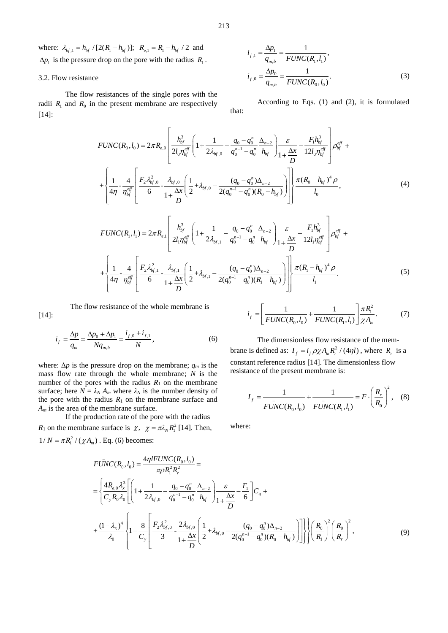where:  $\lambda_{bf,1} = h_{bf} / [2(R_1 - h_{bf})]$ ;  $R_{e,1} = R_1 - h_{bf} / 2$  and  $\Delta p_1$  is the pressure drop on the pore with the radius  $R_1$ .

# 3.2. Flow resistance

The flow resistances of the single pores with the radii  $R_1$  and  $R_0$  in the present membrane are respectively [14]:

$$
i_{f,1} = \frac{\Delta p_1}{q_{m,b}} = \frac{1}{FUNC(R_1, l_1)},
$$
  

$$
i_{f,0} = \frac{\Delta p_0}{q_{m,b}} = \frac{1}{FUNC(R_0, l_0)}.
$$
 (3)

According to Eqs. (1) and (2), it is formulated that:

that:  
\n
$$
FUNC(R_0, I_0) = 2\pi R_{e,0} \left[ \frac{h_{bf}^3}{2l_0 \eta_{bf}^{eff}} \left( 1 + \frac{1}{2\lambda_{bf,0}} - \frac{q_0 - q_0^n}{q_0^{n-1} - q_0^n} \frac{\Delta_{n-2}}{h_{bf}} \right) \frac{\varepsilon}{1 + \frac{\Delta x}{D}} - \frac{F_1 h_{bf}^3}{12l_0 \eta_{bf}^{eff}} \right] \rho_{bf}^{eff} + \frac{\left\{ 1}{4\eta} - \frac{4}{\eta_{bf}^{eff}} \left[ \frac{F_2 \lambda_{bf,0}^2}{6} - \frac{\lambda_{bf,0}}{1 + \frac{\Delta x}{D}} \left( \frac{1}{2} + \lambda_{bf,0} - \frac{(q_0 - q_0^n)\Delta_{n-2}}{2(q_0^{n-1} - q_0^n)(R_0 - h_{bf})} \right) \right] \right\} \frac{\pi (R_0 - h_{bf})^4 \rho}{I_0}, \qquad (4)
$$
\n
$$
FUNC(R_1, I_1) = 2\pi R_{e,1} \left[ \frac{h_{bf}^3}{2l_1 \eta_{bf}^{eff}} \left( 1 + \frac{1}{2\lambda_{bf,0}} - \frac{q_0 - q_0^n}{q_0^{n-1} - q_0^n} \frac{\Delta_{n-2}}{h_{bf}} \right) \frac{\varepsilon}{1 + \frac{\Delta x}{D}} - \frac{F_1 h_{bf}^3}{12l_1 \eta_{bf}^{eff}} \right] \rho_{bf}^{eff} + \frac{\left\{ 1}{4\eta} - \frac{4}{\eta_{bf}^{eff}} \left[ \frac{F_2 \lambda_{bf,1}^2}{6} - \frac{\lambda_{bf,1}}{1 + \frac{\Delta x}{D}} \left( \frac{1}{2} + \lambda_{bf,1} - \frac{(q_0 - q_0^n)\Delta_{n-2}}{2(q_0^{n-1} - q_0^n)(R_1 - h_{bf})} \right) \right] \right\} \frac{\pi (R_1 - h_{bf}^3)^4 \rho}{I_1}.
$$
\n(5)

The flow resistance of the whole membrane is [14]:

ıη η

$$
\dot{i}_f = \frac{\Delta p}{q_m} = \frac{\Delta p_0 + \Delta p_1}{N q_{m,b}} = \frac{\dot{i}_{f,0} + \dot{i}_{f,1}}{N},\tag{6}
$$

where:  $\Delta p$  is the pressure drop on the membrane;  $q_m$  is the mass flow rate through the whole membrane; *N* is the number of the pores with the radius  $R_1$  on the membrane surface; here  $N = \lambda_N A_m$  where  $\lambda_N$  is the number density of the pore with the radius  $R_1$  on the membrane surface and *A<sup>m</sup>* is the area of the membrane surface.

If the production rate of the pore with the radius *R*<sub>1</sub> on the membrane surface is  $\chi$ ,  $\chi = \pi \lambda_N R_1^2$  [14]. Then,

$$
i_{f} = \left[\frac{1}{FUNC(R_{0}, l_{0})} + \frac{1}{FUNC(R_{1}, l_{1})}\right] \frac{\pi R_{1}^{2}}{\chi A_{m}}.
$$
 (7)

The dimensionless flow resistance of the membrane is defined as:  $I_f = i_f \rho \chi A_m R_r^2 / (4\eta l)$ , where  $R_r$  is a constant reference radius [14]. The dimensionless flow resistance of the present membrane is:

1

*l*

$$
I_f = \frac{1}{F\bar{U}NC(R_0, l_0)} + \frac{1}{F\bar{U}NC(R_1, l_1)} = F \cdot \left(\frac{R_r}{R_0}\right)^2, \quad (8)
$$

where:

$$
1/N = \pi R_1^2 / (\chi A_m) \cdot \text{Eq. (6) becomes:}
$$
\n
$$
F\bar{UNC}(R_0, l_0) = \frac{4\eta l F UNC(R_0, l_0)}{\pi \rho R_1^2 R_r^2} =
$$
\n
$$
= \left\{ \frac{4R_{e,0} \lambda_x^3}{C_y R_0 \lambda_0} \left[ \left( 1 + \frac{1}{2\lambda_{bf,0}} - \frac{q_0 - q_0^2}{q_0^{n-1} - q_0^2} \frac{\Delta_{n-2}}{h_{bf}} \right) \frac{\varepsilon}{1 + \frac{\Delta x}{D}} - \frac{F_1}{6} \right] C_q +
$$
\n
$$
+ \frac{(1 - \lambda_x)^4}{\lambda_0} \left\{ 1 - \frac{8}{C_y} \left[ \frac{F_2 \lambda_{bf,0}^2}{3} - \frac{2\lambda_{bf,0}}{1 + \frac{\Delta x}{D}} \left( \frac{1}{2} + \lambda_{bf,0} - \frac{(q_0 - q_0^2)\Delta_{n-2}}{2(q_0^{n-1} - q_0^2)(R_0 - h_{bf})} \right) \right] \right\} \left[ \left( \frac{R_0}{R_1} \right)^2 \left( \frac{R_0}{R_1} \right)^2, \tag{9}
$$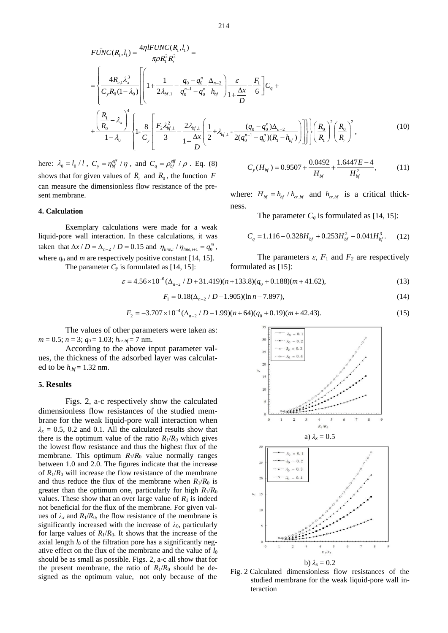$$
214
$$
  
\n
$$
FUNC(R_1, l_1) = \frac{4\eta l FUNC(R_1, l_1)}{\pi \rho R_1^2 R_r^2} =
$$
\n
$$
= \left\{ \frac{4R_{e,1} \lambda_x^3}{C_y R_0 (1 - \lambda_0)} \left[ \left( 1 + \frac{1}{2\lambda_{bf,1}} - \frac{q_0 - q_0^n}{q_0^{n-1} - q_0^n} \frac{\Delta_{n-2}}{h_{bf}} \right) \frac{\varepsilon}{1 + \frac{\Delta x}{D}} - \frac{F_1}{6} \right] C_q + \right\}
$$
\n
$$
+ \left. \frac{\left( \frac{R_1}{R_0} - \lambda_x \right)^4}{1 - \lambda_0} \left\{ 1 - \frac{8}{C_y} \left[ \frac{F_2 \lambda_{bf,1}^2}{3} - \frac{2\lambda_{bf,1}}{1 + \frac{\Delta x}{D}} \left( \frac{1}{2} + \lambda_{bf,1} - \frac{(q_0 - q_0^n) \Delta_{n-2}}{2(q_0^{n-1} - q_0^n) (R_1 - h_{bf})} \right) \right] \right\} \left\{ \left( \frac{R_0}{R_1} \right)^2 \left( \frac{R_0}{R_1} \right)^2, \tag{10}
$$

here:  $\lambda_0 = l_0 / l$ ,  $C_y = \eta_{bf}^{eff} / \eta$ , and  $C_q = \rho_{bf}^{eff} / \rho$ . Eq. (8) shows that for given values of  $R_r$  and  $R_0$ , the function  $F$ can measure the dimensionless flow resistance of the present membrane.

# **4. Calculation**

Exemplary calculations were made for a weak liquid-pore wall interaction. In these calculations, it was taken that  $\Delta x / D = \Delta_{n-2} / D = 0.15$  and  $\eta_{\text{line},i} / \eta_{\text{line},i+1} = q_0^m$ , where  $q_0$  and *m* are respectively positive constant [14, 15].

The parameter  $C_y$  is formulated as [14, 15]:

$$
C_{y}(H_{bf}) = 0.9507 + \frac{0.0492}{H_{bf}} + \frac{1.6447E - 4}{H_{bf}^{2}},
$$
 (11)

where:  $H_{bf} = h_{bf}/h_{cr,bf}$  and  $h_{cr,bf}$  is a critical thickness.

The parameter  $C_q$  is formulated as [14, 15]:

$$
C_q = 1.116 - 0.328H_{bf} + 0.253H_{bf}^2 - 0.041H_{bf}^3. \tag{12}
$$

The parameters  $\varepsilon$ ,  $F_1$  and  $F_2$  are respectively formulated as [15]:

is formulated as [14, 15]:  
\n
$$
\varepsilon = 4.56 \times 10^{-6} (\Delta_{n-2} / D + 31.419)(n+133.8)(q_0 + 0.188)(m+41.62),
$$
\n(13)

$$
F_1 = 0.18(\Delta_{n-2} / D - 1.905)(\ln n - 7.897),\tag{14}
$$

$$
F_1 = 0.18(\Delta_{n-2} / D - 1.905)(\ln n - 7.897),
$$
\n
$$
F_2 = -3.707 \times 10^{-4} (\Delta_{n-2} / D - 1.99)(n + 64)(q_0 + 0.19)(m + 42.43).
$$
\n(15)

The values of other parameters were taken as:  $m = 0.5$ ;  $n = 3$ ;  $q_0 = 1.03$ ;  $h_{cr,bf} = 7$  nm.

According to the above input parameter values, the thickness of the adsorbed layer was calculated to be *h,bf* = 1.32 nm.

#### **5. Results**

Figs. 2, a-c respectively show the calculated dimensionless flow resistances of the studied membrane for the weak liquid-pore wall interaction when  $\lambda_x = 0.5$ , 0.2 and 0.1. All the calculated results show that there is the optimum value of the ratio  $R_1/R_0$  which gives the lowest flow resistance and thus the highest flux of the membrane. This optimum  $R_1/R_0$  value normally ranges between 1.0 and 2.0. The figures indicate that the increase of  $R_1/R_0$  will increase the flow resistance of the membrane and thus reduce the flux of the membrane when  $R_1/R_0$  is greater than the optimum one, particularly for high *R*1/*R*<sup>0</sup> values. These show that an over large value of  $R_1$  is indeed not beneficial for the flux of the membrane. For given values of  $\lambda_x$  and  $R_1/R_0$ , the flow resistance of the membrane is significantly increased with the increase of  $\lambda_0$ , particularly for large values of  $R_1/R_0$ . It shows that the increase of the axial length  $l_0$  of the filtration pore has a significantly negative effect on the flux of the membrane and the value of *l*<sup>0</sup> should be as small as possible. Figs. 2, a-c all show that for the present membrane, the ratio of  $R_1/R_0$  should be designed as the optimum value, not only because of the



Fig. 2 Calculated dimensionless flow resistances of the studied membrane for the weak liquid-pore wall interaction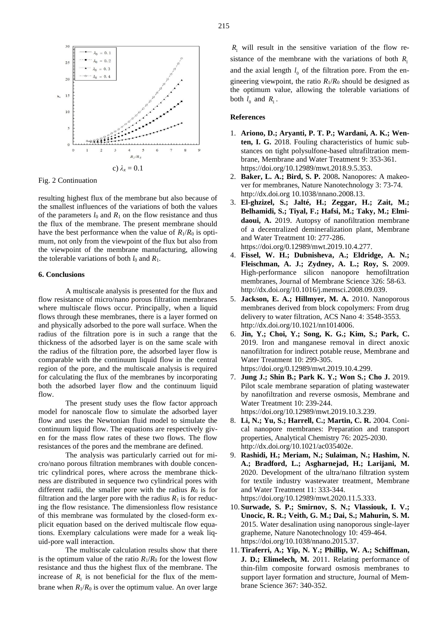

Fig. 2 Continuation

resulting highest flux of the membrane but also because of the smallest influences of the variations of both the values of the parameters  $l_0$  and  $R_1$  on the flow resistance and thus the flux of the membrane. The present membrane should have the best performance when the value of  $R_1/R_0$  is optimum, not only from the viewpoint of the flux but also from the viewpoint of the membrane manufacturing, allowing the tolerable variations of both  $l_0$  and  $R_1$ .

# **6. Conclusions**

A multiscale analysis is presented for the flux and flow resistance of micro/nano porous filtration membranes where multiscale flows occur. Principally, when a liquid flows through these membranes, there is a layer formed on and physically adsorbed to the pore wall surface. When the radius of the filtration pore is in such a range that the thickness of the adsorbed layer is on the same scale with the radius of the filtration pore, the adsorbed layer flow is comparable with the continuum liquid flow in the central region of the pore, and the multiscale analysis is required for calculating the flux of the membranes by incorporating both the adsorbed layer flow and the continuum liquid flow.

The present study uses the flow factor approach model for nanoscale flow to simulate the adsorbed layer flow and uses the Newtonian fluid model to simulate the continuum liquid flow. The equations are respectively given for the mass flow rates of these two flows. The flow resistances of the pores and the membrane are defined.

The analysis was particularly carried out for micro/nano porous filtration membranes with double concentric cylindrical pores, where across the membrane thickness are distributed in sequence two cylindrical pores with different radii, the smaller pore with the radius  $R_0$  is for filtration and the larger pore with the radius  $R_1$  is for reducing the flow resistance. The dimensionless flow resistance of this membrane was formulated by the closed-form explicit equation based on the derived multiscale flow equations. Exemplary calculations were made for a weak liquid-pore wall interaction.

The multiscale calculation results show that there is the optimum value of the ratio  $R_1/R_0$  for the lowest flow resistance and thus the highest flux of the membrane. The increase of  $R_1$  is not beneficial for the flux of the membrane when  $R_1/R_0$  is over the optimum value. An over large

 $R_1$  will result in the sensitive variation of the flow resistance of the membrane with the variations of both  $R_1$ and the axial length  $l_0$  of the filtration pore. From the engineering viewpoint, the ratio  $R_1/R_0$  should be designed as the optimum value, allowing the tolerable variations of both  $l_0$  and  $R_1$ .

#### **References**

- 1. **Ariono, D.; Aryanti, P. T. P.; Wardani, A. K.; Wenten, I. G.** 2018. [Fouling characteristics of humic sub](http://www.techno-press.org/content/?page=article&journal=mwt&volume=9&num=5&ordernum=8)[stances on tight polysulfone-based ultrafiltration mem](http://www.techno-press.org/content/?page=article&journal=mwt&volume=9&num=5&ordernum=8)[brane,](http://www.techno-press.org/content/?page=article&journal=mwt&volume=9&num=5&ordernum=8) Membrane and Water Treatment 9: 353-361. https://doi.org/10.12989/mwt.2018.9.5.353.
- 2. **Baker, L. A.; Bird, S. P.** 2008**.** Nanopores: A makeover for membranes, Nature Nanotechnology 3: 73-74. http://dx.doi.org 10.1038/nnano.2008.13.
- 3. **El-ghzizel, S.; Jalté, H.; Zeggar, H.; Zait, M.; Belhamidi, S.; Tiyal, F.; Hafsi, M.; Taky, M.; Elmidaoui, A.** 2019. [Autopsy of nanofiltration membrane](http://www.techno-press.org/content/?page=article&journal=mwt&volume=10&num=4&ordernum=4)  [of a decentralized demineralization plant,](http://www.techno-press.org/content/?page=article&journal=mwt&volume=10&num=4&ordernum=4) Membrane and Water Treatment 10: 277-286. [https://doi.org/0.12989/mwt.2019.10.4.277.](https://doi.org/0.12989/mwt.2019.10.4.277)
- 4. **Fissel, W. H.; Dubnisheva, A.; Eldridge, A. N.; Fleischman, A. J.; Zydney, A. L.; Roy, S.** 2009. High-performance silicon nanopore hemofiltration membranes, Journal of Membrane Science 326: 58-63. http://dx.doi.org/10.1016/j.memsci.2008.09.039.
- 5. **Jackson, E. A.; Hillmyer, M. A.** 2010. Nanoporous membranes derived from block copolymers: From drug delivery to water filtration, ACS Nano 4: 3548-3553. [http://dx.doi.org/10.1021/nn1014006.](http://dx.doi.org/10.1021/nn1014006)
- 6. **Jin, Y.; Choi, Y.; Song, K. G.; Kim, S.; Park, C.** 2019. [Iron and manganese removal in direct anoxic](http://www.techno-press.org/content/?page=article&journal=mwt&volume=10&num=4&ordernum=6)  [nanofiltration for indirect potable reuse,](http://www.techno-press.org/content/?page=article&journal=mwt&volume=10&num=4&ordernum=6) Membrane and Water Treatment 10: 299-305. [https://doi.org/0.12989/mwt.2019.10.4.299.](https://doi.org/0.12989/mwt.2019.10.4.299)
- 7. **Jung J.; Shin B.; Park K. Y.; Won S.; Cho J.** 2019. [Pilot scale membrane separation of plating wastewater](http://www.techno-press.org/content/?page=article&journal=mwt&volume=10&num=3&ordernum=7)  [by nanofiltration and reverse osmosis,](http://www.techno-press.org/content/?page=article&journal=mwt&volume=10&num=3&ordernum=7) Membrane and Water Treatment 10: 239-244. https://doi.org/10.12989/mwt.2019.10.3.239.
- 8. **Li, N.; Yu, S.; Harrell, C.; Martin, C. R.** 2004. Conical nanopore membranes: Preparation and transport properties, Analytical Chemistry 76: 2025-2030. http://dx.doi.org/10.1021/ac035402e.
- 9. **Rashidi, H.; Meriam, N.; Sulaiman, N.; Hashim, N. A.; Bradford, L.; Asgharnejad, H.; Larijani, M.**  2020. [Development of the ultra/nano filtration system](http://www.techno-press.org/content/?page=article&journal=mwt&volume=11&num=5&ordernum=2)  [for textile industry wastewater treatment,](http://www.techno-press.org/content/?page=article&journal=mwt&volume=11&num=5&ordernum=2) Membrane and Water Treatment 11: 333-344. [https://doi.org/10.12989/mwt.2020.11.5.333.](https://doi.org/10.12989/mwt.2020.11.5.333)
- 10. **Surwade, S. P.; Smirnov, S. N.; Vlassiouk, I. V.; Unocic, R. R.; Veith, G. M.; Dai, S.; Mahurin, S. M.**  2015. Water desalination using nanoporous single-layer grapheme, Nature Nanotechnology 10: 459-464. https://doi.org/10.1038/nnano.2015.37.
- 11.**Tiraferri, A.; Yip, N. Y.; Phillip, W. A.; Schiffman, J. D.; Elimelech, M.** 2011. Relating performance of thin-film composite forward osmosis membranes to support layer formation and structure, Journal of Membrane Science 367: 340-352.